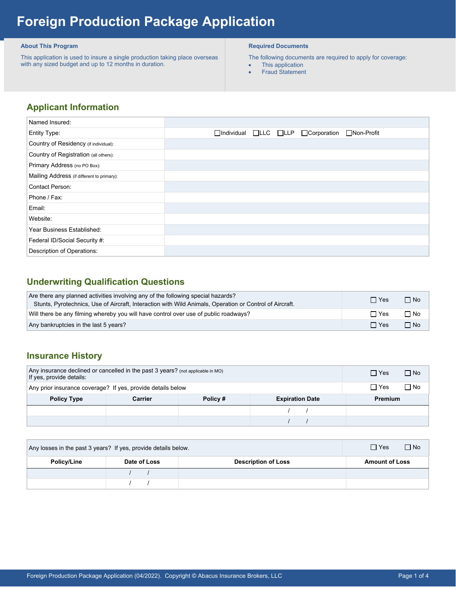# **Foreign Production Package Application**

### **About This Program**

 This application is used to insure a single production taking place overseas with any sized budget and up to 12 months in duration.

### **Required Documents**

The following documents are required to apply for coverage:

- This application
- Fraud Statement

# **Applicant Information**

| Named Insured:                             |  |                                                            |                   |
|--------------------------------------------|--|------------------------------------------------------------|-------------------|
| Entity Type:                               |  | $\Box$ Individual $\Box$ LLC $\Box$ LLP $\Box$ Corporation | $\Box$ Non-Profit |
| Country of Residency (if individual):      |  |                                                            |                   |
| Country of Registration (all others):      |  |                                                            |                   |
| Primary Address (no PO Box):               |  |                                                            |                   |
| Mailing Address (if different to primary): |  |                                                            |                   |
| <b>Contact Person:</b>                     |  |                                                            |                   |
| Phone / Fax:                               |  |                                                            |                   |
| Email:                                     |  |                                                            |                   |
| Website:                                   |  |                                                            |                   |
| Year Business Established:                 |  |                                                            |                   |
| Federal ID/Social Security #:              |  |                                                            |                   |
| Description of Operations:                 |  |                                                            |                   |

# **Underwriting Qualification Questions**

| Are there any planned activities involving any of the following special hazards?<br>Stunts, Pyrotechnics, Use of Aircraft, Interaction with Wild Animals, Operation or Control of Aircraft. | $\Box$ Yes | $\neg$ No   |
|---------------------------------------------------------------------------------------------------------------------------------------------------------------------------------------------|------------|-------------|
| Will there be any filming whereby you will have control over use of public roadways?                                                                                                        | $\Box$ Yes | ∩ No        |
| Any bankruptcies in the last 5 years?                                                                                                                                                       | $\Box$ Yes | $\n  Two\n$ |

## **Insurance History**

| Any insurance declined or cancelled in the past $3$ years? (not applicable in MO)<br>If yes, provide details: |         |         |                         | $\Box$ No<br>$\Box$ Yes |  |
|---------------------------------------------------------------------------------------------------------------|---------|---------|-------------------------|-------------------------|--|
| Any prior insurance coverage? If yes, provide details below                                                   |         |         | $\Box$ No<br>$\Box$ Yes |                         |  |
| <b>Policy Type</b>                                                                                            | Carrier | Policy# | <b>Expiration Date</b>  | Premium                 |  |
|                                                                                                               |         |         |                         |                         |  |
|                                                                                                               |         |         |                         |                         |  |

| Any losses in the past 3 years? If yes, provide details below. |              |                            | $\Box$ Yes<br>$\Box$ No |
|----------------------------------------------------------------|--------------|----------------------------|-------------------------|
| Policy/Line                                                    | Date of Loss | <b>Description of Loss</b> | <b>Amount of Loss</b>   |
|                                                                |              |                            |                         |
|                                                                |              |                            |                         |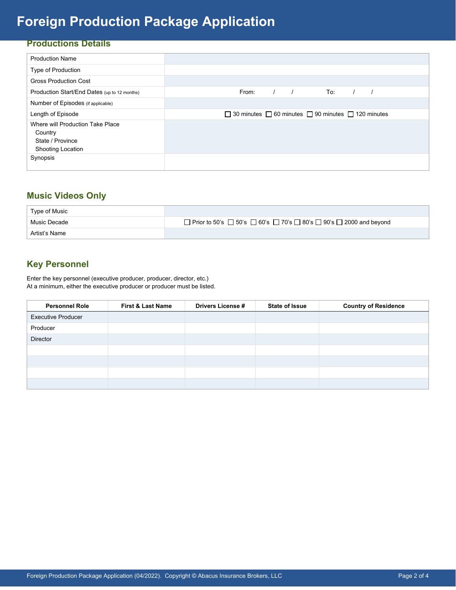# **Foreign Production Package Application**

## **Productions Details**

| <b>Production Name</b>                                                                      |                                                                          |
|---------------------------------------------------------------------------------------------|--------------------------------------------------------------------------|
| Type of Production                                                                          |                                                                          |
| <b>Gross Production Cost</b>                                                                |                                                                          |
| Production Start/End Dates (up to 12 months)                                                | From:<br>To:                                                             |
| Number of Episodes (if applicable)                                                          |                                                                          |
| Length of Episode                                                                           | $\Box$ 30 minutes $\Box$ 60 minutes $\Box$ 90 minutes $\Box$ 120 minutes |
| Where will Production Take Place<br>Country<br>State / Province<br><b>Shooting Location</b> |                                                                          |
| Synopsis                                                                                    |                                                                          |

## **Music Videos Only**

| Type of Music |                                                                                                    |
|---------------|----------------------------------------------------------------------------------------------------|
| Music Decade  | □ Prior to 50's $\Box$ 50's $\Box$ 60's $\Box$ 70's $\Box$ 80's $\Box$ 90's $\Box$ 2000 and beyond |
| Artist's Name |                                                                                                    |

# **Key Personnel**

Enter the key personnel (executive producer, producer, director, etc.) At a minimum, either the executive producer or producer must be listed.

| <b>Personnel Role</b>     | <b>First &amp; Last Name</b> | <b>Drivers License #</b> | <b>State of Issue</b> | <b>Country of Residence</b> |
|---------------------------|------------------------------|--------------------------|-----------------------|-----------------------------|
| <b>Executive Producer</b> |                              |                          |                       |                             |
| Producer                  |                              |                          |                       |                             |
| Director                  |                              |                          |                       |                             |
|                           |                              |                          |                       |                             |
|                           |                              |                          |                       |                             |
|                           |                              |                          |                       |                             |
|                           |                              |                          |                       |                             |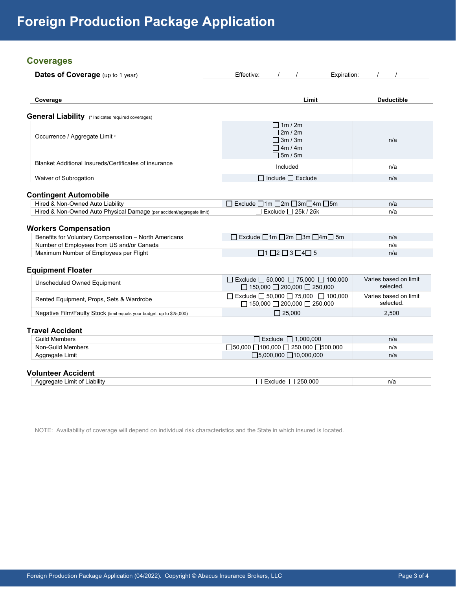## **Coverages**

| Dates of Coverage (up to 1 year)                                      | Effective:<br>Expiration:                                                              |                   |
|-----------------------------------------------------------------------|----------------------------------------------------------------------------------------|-------------------|
| Coverage                                                              | Limit                                                                                  | <b>Deductible</b> |
| <b>General Liability</b> (* Indicates required coverages)             |                                                                                        |                   |
| Occurrence / Aggregate Limit *                                        | $\Box$ 1m / 2m<br>$\Box$ 2m / 2m<br>$\Box$ 3m / 3m<br>$\Box$ 4m / 4m<br>$\Box$ 5m / 5m | n/a               |
| Blanket Additional Insureds/Certificates of insurance                 | Included                                                                               | n/a               |
| Waiver of Subrogation                                                 | $\Box$ Include $\Box$ Exclude                                                          | n/a               |
| <b>Contingent Automobile</b>                                          |                                                                                        |                   |
| Hired & Non-Owned Auto Liability                                      | □ Exclude □1m □2m □3m□4m □5m                                                           | n/a               |
| Hired & Non-Owned Auto Physical Damage (per accident/aggregate limit) | $\Box$ Exclude $\Box$ 25k / 25k                                                        | n/a               |

#### **Workers Compensation**

| Benefits for Voluntary Compensation – North Americans |                                              | n/a |
|-------------------------------------------------------|----------------------------------------------|-----|
| Number of Employees from US and/or Canada             |                                              | n/a |
| Maximum Number of Employees per Flight                | $\Box$ 1 $\Box$ 2 $\Box$ 3 $\Box$ 4 $\Box$ 5 | n/a |

## **Equipment Floater**

| Unscheduled Owned Equipment                                           | $\Box$ Exclude $\Box$ 50,000 $\Box$ 75,000 $\Box$ 100,000<br>$\Box$ 150,000 $\Box$ 200,000 $\Box$ 250,000 | Varies based on limit<br>selected. |
|-----------------------------------------------------------------------|-----------------------------------------------------------------------------------------------------------|------------------------------------|
| Rented Equipment, Props, Sets & Wardrobe                              | $\Box$ Exclude $\Box$ 50,000 $\Box$ 75,000 $\Box$ 100,000<br>$\Box$ 150,000 $\Box$ 200,000 $\Box$ 250,000 | Varies based on limit<br>selected. |
| Negative Film/Faulty Stock (limit equals your budget, up to \$25,000) | $\Box$ 25.000                                                                                             | 2.500                              |

### **Travel Accident**

| <b>Guild Members</b> | 0.000.000<br>Exclude                                       | n/a |
|----------------------|------------------------------------------------------------|-----|
| Non-Guild Members    | $\Box$ 50,000 $\Box$ 100,000 $\Box$ 250,000 $\Box$ 500,000 | n/a |
| Limit<br>Aggregate . | □5,000,000 □10,000,000                                     | n/a |

## **Volunteer Accident**

|  | mıt<br>∵labilitv<br>nt<br>าลาค<br>ิงะ | റററ<br>つに | n/a |
|--|---------------------------------------|-----------|-----|
|--|---------------------------------------|-----------|-----|

NOTE: Availability of coverage will depend on individual risk characteristics and the State in which insured is located.